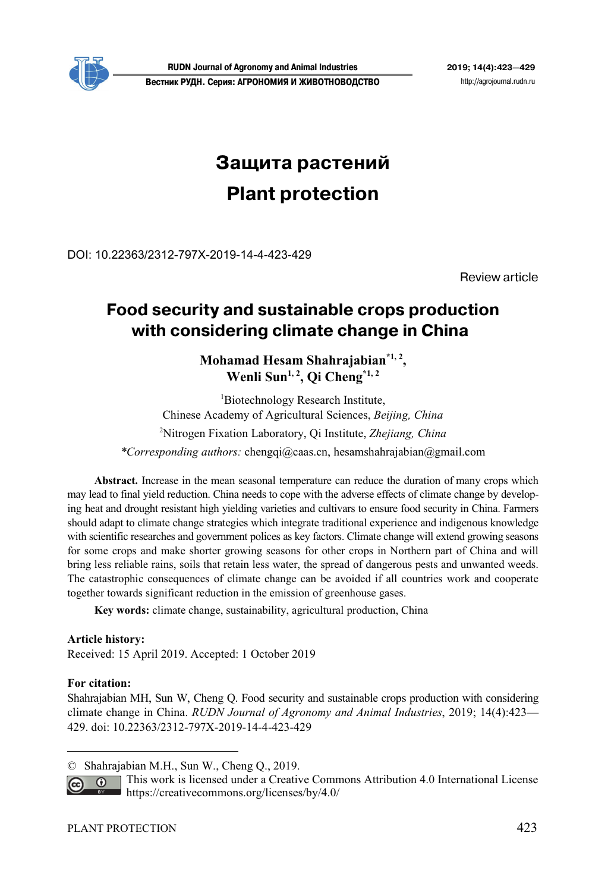

# **Защита растений Plant protection**

DOI: 10.22363/2312-797X-2019-14-4-423-429

Review article

# **Food security and sustainable crops production**  with considering climate change in China

# **Mohamad Hesam Shahrajabian\*1, 2,**  Wenli Sun<sup>1, 2</sup>, Qi Cheng<sup>\*1, 2</sup>

1 Biotechnology Research Institute, Chinese Academy of Agricultural Sciences, *Beijing, China* 2 Nitrogen Fixation Laboratory, Qi Institute, *Zhejiang, China \*Corresponding authors:* chengqi@caas.cn, hesamshahrajabian@gmail.com

**Abstract.** Increase in the mean seasonal temperature can reduce the duration of many crops which may lead to final yield reduction. China needs to cope with the adverse effects of climate change by developing heat and drought resistant high yielding varieties and cultivars to ensure food security in China. Farmers should adapt to climate change strategies which integrate traditional experience and indigenous knowledge with scientific researches and government polices as key factors. Climate change will extend growing seasons for some crops and make shorter growing seasons for other crops in Northern part of China and will bring less reliable rains, soils that retain less water, the spread of dangerous pests and unwanted weeds. The catastrophic consequences of climate change can be avoided if all countries work and cooperate together towards significant reduction in the emission of greenhouse gases.

**Key words:** climate change, sustainability, agricultural production, China

# **Article history:**

Received: 15 April 2019. Accepted: 1 October 2019

### **For citation:**

 $\overline{a}$ 

Shahrajabian MH, Sun W, Cheng Q. Food security and sustainable crops production with considering climate change in China. *RUDN Journal of Agronomy and Animal Industries*, 2019; 14(4):423— 429. doi: 10.22363/2312-797X-2019-14-4-423-429

This work is licensed under a Creative Commons Attribution 4.0 International License  $\overline{G}$ https://creativecommons.org/licenses/by/4.0/

<sup>©</sup> Shahrajabian M.H., Sun W., Cheng Q., 2019.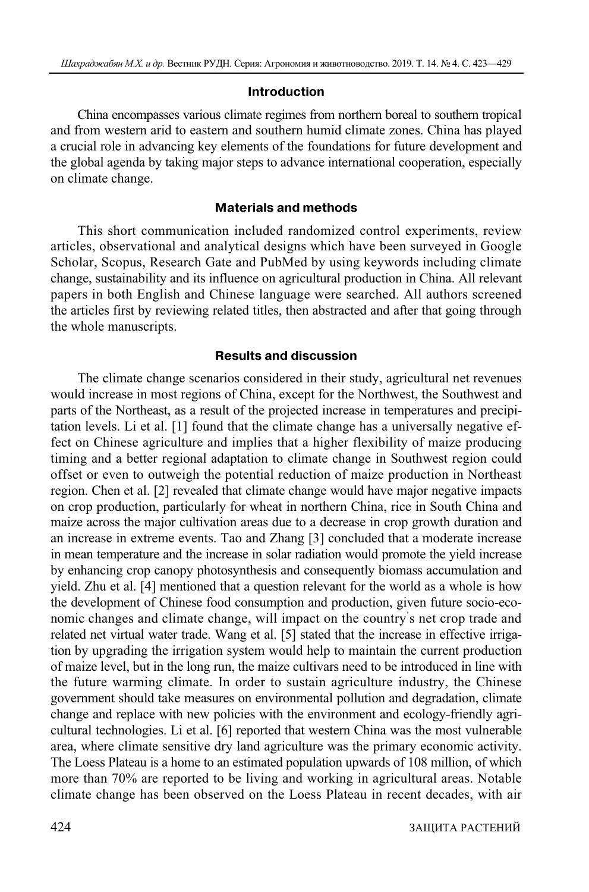#### **Introduction**

China encompasses various climate regimes from northern boreal to southern tropical and from western arid to eastern and southern humid climate zones. China has played a crucial role in advancing key elements of the foundations for future development and the global agenda by taking major steps to advance international cooperation, especially on climate change.

### **Materials and methods**

This short communication included randomized control experiments, review articles, observational and analytical designs which have been surveyed in Google Scholar, Scopus, Research Gate and PubMed by using keywords including climate change, sustainability and its influence on agricultural production in China. All relevant papers in both English and Chinese language were searched. All authors screened the articles first by reviewing related titles, then abstracted and after that going through the whole manuscripts.

### **Results and discussion**

The climate change scenarios considered in their study, agricultural net revenues would increase in most regions of China, except for the Northwest, the Southwest and parts of the Northeast, as a result of the projected increase in temperatures and precipitation levels. Li et al. [1] found that the climate change has a universally negative effect on Chinese agriculture and implies that a higher flexibility of maize producing timing and a better regional adaptation to climate change in Southwest region could offset or even to outweigh the potential reduction of maize production in Northeast region. Chen et al. [2] revealed that climate change would have major negative impacts on crop production, particularly for wheat in northern China, rice in South China and maize across the major cultivation areas due to a decrease in crop growth duration and an increase in extreme events. Tao and Zhang [3] concluded that a moderate increase in mean temperature and the increase in solar radiation would promote the yield increase by enhancing crop canopy photosynthesis and consequently biomass accumulation and yield. Zhu et al. [4] mentioned that a question relevant for the world as a whole is how the development of Chinese food consumption and production, given future socio-economic changes and climate change, will impact on the country' s net crop trade and related net virtual water trade. Wang et al. [5] stated that the increase in effective irrigation by upgrading the irrigation system would help to maintain the current production of maize level, but in the long run, the maize cultivars need to be introduced in line with the future warming climate. In order to sustain agriculture industry, the Chinese government should take measures on environmental pollution and degradation, climate change and replace with new policies with the environment and ecology-friendly agricultural technologies. Li et al. [6] reported that western China was the most vulnerable area, where climate sensitive dry land agriculture was the primary economic activity. The Loess Plateau is a home to an estimated population upwards of 108 million, of which more than 70% are reported to be living and working in agricultural areas. Notable climate change has been observed on the Loess Plateau in recent decades, with air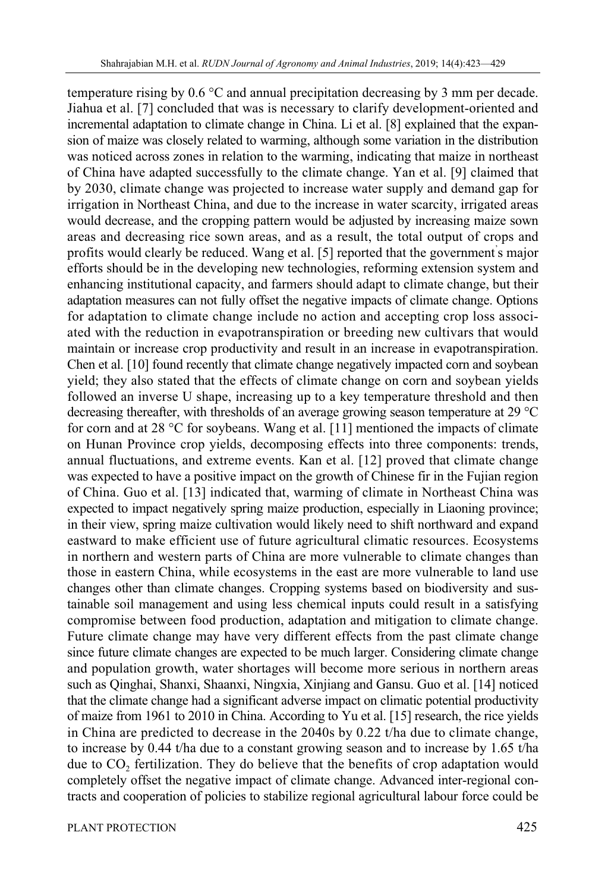temperature rising by 0.6 °С and annual precipitation decreasing by 3 mm per decade. Jiahua et al. [7] concluded that was is necessary to clarify development-oriented and incremental adaptation to climate change in China. Li et al. [8] explained that the expansion of maize was closely related to warming, although some variation in the distribution was noticed across zones in relation to the warming, indicating that maize in northeast of China have adapted successfully to the climate change. Yan et al. [9] claimed that by 2030, climate change was projected to increase water supply and demand gap for irrigation in Northeast China, and due to the increase in water scarcity, irrigated areas would decrease, and the cropping pattern would be adjusted by increasing maize sown areas and decreasing rice sown areas, and as a result, the total output of crops and profits would clearly be reduced. Wang et al. [5] reported that the government' s major efforts should be in the developing new technologies, reforming extension system and enhancing institutional capacity, and farmers should adapt to climate change, but their adaptation measures can not fully offset the negative impacts of climate change. Options for adaptation to climate change include no action and accepting crop loss associated with the reduction in evapotranspiration or breeding new cultivars that would maintain or increase crop productivity and result in an increase in evapotranspiration. Chen et al. [10] found recently that climate change negatively impacted corn and soybean yield; they also stated that the effects of climate change on corn and soybean yields followed an inverse U shape, increasing up to a key temperature threshold and then decreasing thereafter, with thresholds of an average growing season temperature at 29 °С for corn and at 28 °С for soybeans. Wang et al. [11] mentioned the impacts of climate on Hunan Province crop yields, decomposing effects into three components: trends, annual fluctuations, and extreme events. Kan et al. [12] proved that climate change was expected to have a positive impact on the growth of Chinese fir in the Fujian region of China. Guo et al. [13] indicated that, warming of climate in Northeast China was expected to impact negatively spring maize production, especially in Liaoning province; in their view, spring maize cultivation would likely need to shift northward and expand eastward to make efficient use of future agricultural climatic resources. Ecosystems in northern and western parts of China are more vulnerable to climate changes than those in eastern China, while ecosystems in the east are more vulnerable to land use changes other than climate changes. Cropping systems based on biodiversity and sustainable soil management and using less chemical inputs could result in a satisfying compromise between food production, adaptation and mitigation to climate change. Future climate change may have very different effects from the past climate change since future climate changes are expected to be much larger. Considering climate change and population growth, water shortages will become more serious in northern areas such as Qinghai, Shanxi, Shaanxi, Ningxia, Xinjiang and Gansu. Guo et al. [14] noticed that the climate change had a significant adverse impact on climatic potential productivity of maize from 1961 to 2010 in China. According to Yu et al. [15] research, the rice yields in China are predicted to decrease in the 2040s by 0.22 t/ha due to climate change, to increase by 0.44 t/ha due to a constant growing season and to increase by 1.65 t/ha due to CO<sub>2</sub> fertilization. They do believe that the benefits of crop adaptation would completely offset the negative impact of climate change. Advanced inter-regional contracts and cooperation of policies to stabilize regional agricultural labour force could be

PLANT PROTECTION 425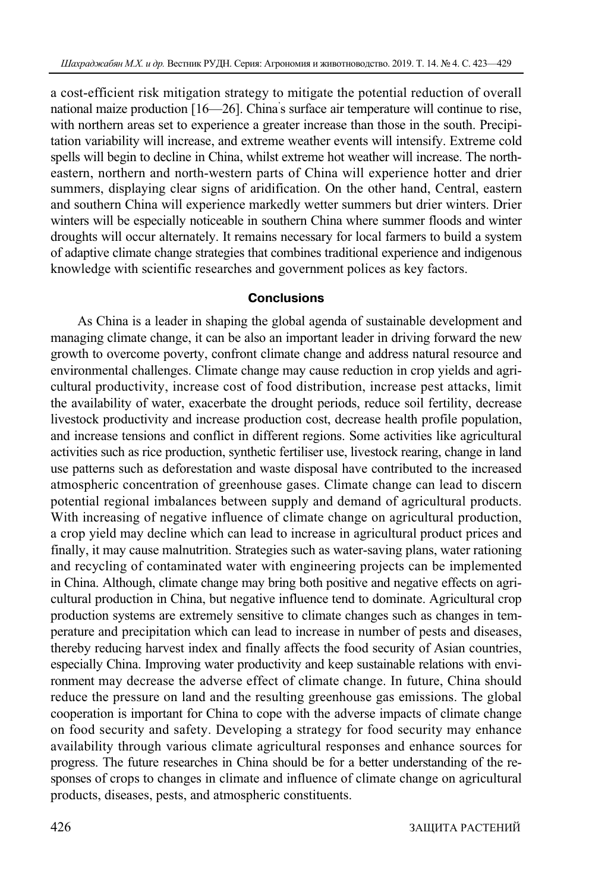a cost-efficient risk mitigation strategy to mitigate the potential reduction of overall national maize production [16—26]. China' s surface air temperature will continue to rise, with northern areas set to experience a greater increase than those in the south. Precipitation variability will increase, and extreme weather events will intensify. Extreme cold spells will begin to decline in China, whilst extreme hot weather will increase. The northeastern, northern and north-western parts of China will experience hotter and drier summers, displaying clear signs of aridification. On the other hand, Central, eastern and southern China will experience markedly wetter summers but drier winters. Drier winters will be especially noticeable in southern China where summer floods and winter droughts will occur alternately. It remains necessary for local farmers to build a system of adaptive climate change strategies that combines traditional experience and indigenous knowledge with scientific researches and government polices as key factors.

# **Conclusions**

As China is a leader in shaping the global agenda of sustainable development and managing climate change, it can be also an important leader in driving forward the new growth to overcome poverty, confront climate change and address natural resource and environmental challenges. Climate change may cause reduction in crop yields and agricultural productivity, increase cost of food distribution, increase pest attacks, limit the availability of water, exacerbate the drought periods, reduce soil fertility, decrease livestock productivity and increase production cost, decrease health profile population, and increase tensions and conflict in different regions. Some activities like agricultural activities such as rice production, synthetic fertiliser use, livestock rearing, change in land use patterns such as deforestation and waste disposal have contributed to the increased atmospheric concentration of greenhouse gases. Climate change can lead to discern potential regional imbalances between supply and demand of agricultural products. With increasing of negative influence of climate change on agricultural production, a crop yield may decline which can lead to increase in agricultural product prices and finally, it may cause malnutrition. Strategies such as water-saving plans, water rationing and recycling of contaminated water with engineering projects can be implemented in China. Although, climate change may bring both positive and negative effects on agricultural production in China, but negative influence tend to dominate. Agricultural crop production systems are extremely sensitive to climate changes such as changes in temperature and precipitation which can lead to increase in number of pests and diseases, thereby reducing harvest index and finally affects the food security of Asian countries, especially China. Improving water productivity and keep sustainable relations with environment may decrease the adverse effect of climate change. In future, China should reduce the pressure on land and the resulting greenhouse gas emissions. The global cooperation is important for China to cope with the adverse impacts of climate change on food security and safety. Developing a strategy for food security may enhance availability through various climate agricultural responses and enhance sources for progress. The future researches in China should be for a better understanding of the responses of crops to changes in climate and influence of climate change on agricultural products, diseases, pests, and atmospheric constituents.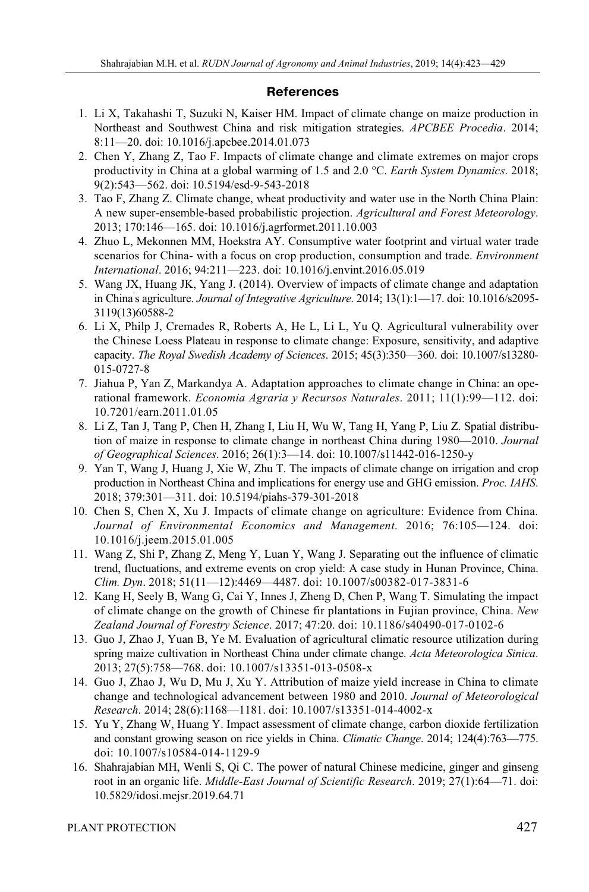# **References**

- 1. Li X, Takahashi T, Suzuki N, Kaiser HM. Impact of climate change on maize production in Northeast and Southwest China and risk mitigation strategies. *APCBEE Procedia*. 2014; 8:11—20. doi: 10.1016/j.apcbee.2014.01.073
- 2. Chen Y, Zhang Z, Tao F. Impacts of climate change and climate extremes on major crops productivity in China at a global warming of 1.5 and 2.0 °С. *Earth System Dynamics*. 2018; 9(2):543—562. doi: 10.5194/esd-9-543-2018
- 3. Tao F, Zhang Z. Climate change, wheat productivity and water use in the North China Plain: A new super-ensemble-based probabilistic projection. *Agricultural and Forest Meteorology*. 2013; 170:146—165. doi: 10.1016/j.agrformet.2011.10.003
- 4. Zhuo L, Mekonnen MM, Hoekstra AY. Consumptive water footprint and virtual water trade scenarios for China- with a focus on crop production, consumption and trade. *Environment International*. 2016; 94:211—223. doi: 10.1016/j.envint.2016.05.019
- 5. Wang JX, Huang JK, Yang J. (2014). Overview of impacts of climate change and adaptation in China' s agriculture. *Journal of Integrative Agriculture*. 2014; 13(1):1—17. doi: 10.1016/s2095- 3119(13)60588-2
- 6. Li X, Philp J, Cremades R, Roberts A, He L, Li L, Yu Q. Agricultural vulnerability over the Chinese Loess Plateau in response to climate change: Exposure, sensitivity, and adaptive capacity. *The Royal Swedish Academy of Sciences*. 2015; 45(3):350—360. doi: 10.1007/s13280- 015-0727-8
- 7. Jiahua P, Yan Z, Markandya A. Adaptation approaches to climate change in China: an operational framework. *Economia Agraria y Recursos Naturales*. 2011; 11(1):99—112. doi: 10.7201/earn.2011.01.05
- 8. Li Z, Tan J, Tang P, Chen H, Zhang I, Liu H, Wu W, Tang H, Yang P, Liu Z. Spatial distribution of maize in response to climate change in northeast China during 1980—2010. *Journal of Geographical Sciences*. 2016; 26(1):3—14. doi: 10.1007/s11442-016-1250-y
- 9. Yan T, Wang J, Huang J, Xie W, Zhu T. The impacts of climate change on irrigation and crop production in Northeast China and implications for energy use and GHG emission. *Proc. IAHS*. 2018; 379:301—311. doi: 10.5194/piahs-379-301-2018
- 10. Chen S, Chen X, Xu J. Impacts of climate change on agriculture: Evidence from China. *Journal of Environmental Economics and Management*. 2016; 76:105—124. doi: 10.1016/j.jeem.2015.01.005
- 11. Wang Z, Shi P, Zhang Z, Meng Y, Luan Y, Wang J. Separating out the influence of climatic trend, fluctuations, and extreme events on crop yield: A case study in Hunan Province, China. *Clim. Dyn*. 2018; 51(11—12):4469—4487. doi: 10.1007/s00382-017-3831-6
- 12. Kang H, Seely B, Wang G, Cai Y, Innes J, Zheng D, Chen P, Wang T. Simulating the impact of climate change on the growth of Chinese fir plantations in Fujian province, China. *New Zealand Journal of Forestry Science*. 2017; 47:20. doi: 10.1186/s40490-017-0102-6
- 13. Guo J, Zhao J, Yuan B, Ye M. Evaluation of agricultural climatic resource utilization during spring maize cultivation in Northeast China under climate change. *Acta Meteorologica Sinica*. 2013; 27(5):758—768. doi: 10.1007/s13351-013-0508-x
- 14. Guo J, Zhao J, Wu D, Mu J, Xu Y. Attribution of maize yield increase in China to climate change and technological advancement between 1980 and 2010. *Journal of Meteorological Research*. 2014; 28(6):1168—1181. doi: 10.1007/s13351-014-4002-x
- 15. Yu Y, Zhang W, Huang Y. Impact assessment of climate change, carbon dioxide fertilization and constant growing season on rice yields in China. *Climatic Change*. 2014; 124(4):763—775. doi: 10.1007/s10584-014-1129-9
- 16. Shahrajabian MH, Wenli S, Qi C. The power of natural Chinese medicine, ginger and ginseng root in an organic life. *Middle-East Journal of Scientific Research*. 2019; 27(1):64—71. doi: 10.5829/idosi.mejsr.2019.64.71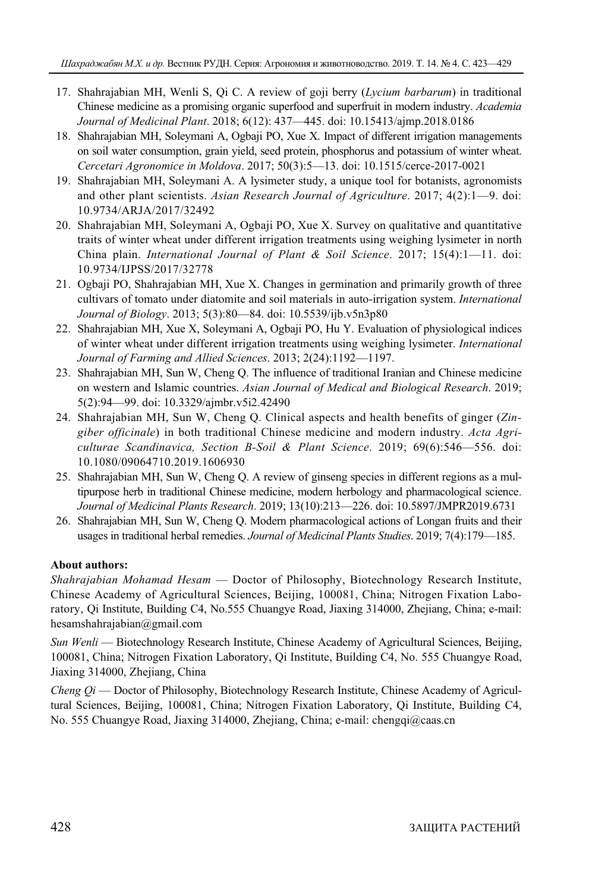- 17. Shahrajabian MH, Wenli S, Qi C. A review of goji berry (*Lycium barbarum*) in traditional Chinese medicine as a promising organic superfood and superfruit in modern industry. *Academia Journal of Medicinal Plant*. 2018; 6(12): 437—445. doi: 10.15413/ajmp.2018.0186
- 18. Shahrajabian MH, Soleymani A, Ogbaji PO, Xue X. Impact of different irrigation managements on soil water consumption, grain yield, seed protein, phosphorus and potassium of winter wheat. *Cercetari Agronomice in Moldova*. 2017; 50(3):5—13. doi: 10.1515/cerce-2017-0021
- 19. Shahrajabian MH, Soleymani A. A lysimeter study, a unique tool for botanists, agronomists and other plant scientists. *Asian Research Journal of Agriculture*. 2017; 4(2):1—9. doi: 10.9734/ARJA/2017/32492
- 20. Shahrajabian MH, Soleymani A, Ogbaji PO, Xue X. Survey on qualitative and quantitative traits of winter wheat under different irrigation treatments using weighing lysimeter in north China plain. *International Journal of Plant & Soil Science*. 2017; 15(4):1—11. doi: 10.9734/IJPSS/2017/32778
- 21. Ogbaji PO, Shahrajabian MH, Xue X. Changes in germination and primarily growth of three cultivars of tomato under diatomite and soil materials in auto-irrigation system. *International Journal of Biology*. 2013; 5(3):80—84. doi: 10.5539/ijb.v5n3p80
- 22. Shahrajabian MH, Xue X, Soleymani A, Ogbaji PO, Hu Y. Evaluation of physiological indices of winter wheat under different irrigation treatments using weighing lysimeter. *International Journal of Farming and Allied Sciences*. 2013; 2(24):1192—1197.
- 23. Shahrajabian MH, Sun W, Cheng Q. The influence of traditional Iranian and Chinese medicine on western and Islamic countries. *Asian Journal of Medical and Biological Research*. 2019; 5(2):94—99. doi: 10.3329/ajmbr.v5i2.42490
- 24. Shahrajabian MH, Sun W, Cheng Q. Clinical aspects and health benefits of ginger (*Zingiber officinale*) in both traditional Chinese medicine and modern industry. *Acta Agriculturae Scandinavica, Section B-Soil & Plant Science*. 2019; 69(6):546—556. doi: 10.1080/09064710.2019.1606930
- 25. Shahrajabian MH, Sun W, Cheng Q. A review of ginseng species in different regions as a multipurpose herb in traditional Chinese medicine, modern herbology and pharmacological science. *Journal of Medicinal Plants Research*. 2019; 13(10):213—226. doi: 10.5897/JMPR2019.6731
- 26. Shahrajabian MH, Sun W, Cheng Q. Modern pharmacological actions of Longan fruits and their usages in traditional herbal remedies. *Journal of Medicinal Plants Studies*. 2019; 7(4):179—185.

# **About authors:**

*Shahrajabian Mohamad Hesam* — Doctor of Philosophy, Biotechnology Research Institute, Chinese Academy of Agricultural Sciences, Beijing, 100081, China; Nitrogen Fixation Laboratory, Qi Institute, Building C4, No.555 Chuangye Road, Jiaxing 314000, Zhejiang, China; e-mail: hesamshahrajabian@gmail.com

*Sun Wenli* — Biotechnology Research Institute, Chinese Academy of Agricultural Sciences, Beijing, 100081, China; Nitrogen Fixation Laboratory, Qi Institute, Building C4, No. 555 Chuangye Road, Jiaxing 314000, Zhejiang, China

*Cheng Qi* — Doctor of Philosophy, Biotechnology Research Institute, Chinese Academy of Agricultural Sciences, Beijing, 100081, China; Nitrogen Fixation Laboratory, Qi Institute, Building C4, No. 555 Chuangye Road, Jiaxing 314000, Zhejiang, China; e-mail: chengqi@caas.cn